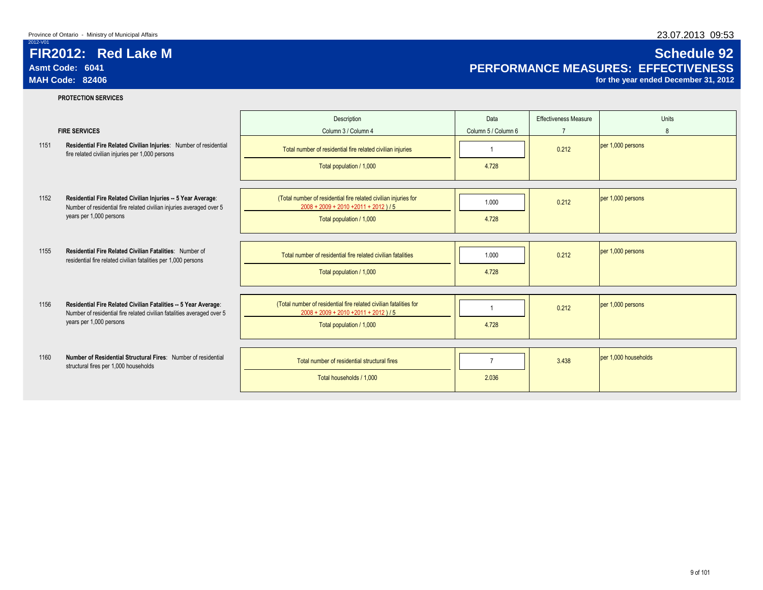**PROTECTION SERVICES**

# 2012-V01

## **FIR2012: Red Lake M Schedule 92** Asmt Code: 6041<br> **Asmt Code: 6041 PERFORMANCE MEASURES: EFFECTIVENESS**<br>
MAH Code: 82406 *per ended December 31, 2012*

for the year ended December 31, 2012

|      |                                                                                                                                           | Description                                                                                                   | Data                | <b>Effectiveness Measure</b> | Units                |
|------|-------------------------------------------------------------------------------------------------------------------------------------------|---------------------------------------------------------------------------------------------------------------|---------------------|------------------------------|----------------------|
|      | <b>FIRE SERVICES</b>                                                                                                                      | Column 3 / Column 4                                                                                           | Column 5 / Column 6 | $\overline{7}$               | 8                    |
| 1151 | Residential Fire Related Civilian Injuries: Number of residential<br>fire related civilian injuries per 1,000 persons                     | Total number of residential fire related civilian injuries                                                    |                     | 0.212                        | per 1,000 persons    |
|      |                                                                                                                                           | Total population / 1,000                                                                                      | 4.728               |                              |                      |
|      |                                                                                                                                           |                                                                                                               |                     |                              |                      |
| 1152 | Residential Fire Related Civilian Injuries -- 5 Year Average:<br>Number of residential fire related civilian injuries averaged over 5     | (Total number of residential fire related civilian injuries for<br>$2008 + 2009 + 2010 + 2011 + 2012$ ) / 5   | 1.000               | 0.212                        | per 1,000 persons    |
|      | years per 1,000 persons                                                                                                                   | Total population / 1,000                                                                                      | 4.728               |                              |                      |
|      |                                                                                                                                           |                                                                                                               |                     |                              |                      |
| 1155 | Residential Fire Related Civilian Fatalities: Number of<br>residential fire related civilian fatalities per 1,000 persons                 | Total number of residential fire related civilian fatalities                                                  | 1.000               | 0.212                        | per 1,000 persons    |
|      |                                                                                                                                           | Total population / 1,000                                                                                      | 4.728               |                              |                      |
|      |                                                                                                                                           |                                                                                                               |                     |                              |                      |
| 1156 | Residential Fire Related Civilian Fatalities -- 5 Year Average:<br>Number of residential fire related civilian fatalities averaged over 5 | (Total number of residential fire related civilian fatalities for<br>$2008 + 2009 + 2010 + 2011 + 2012$ ) / 5 |                     | 0.212                        | per 1,000 persons    |
|      | years per 1,000 persons                                                                                                                   | Total population / 1,000                                                                                      | 4.728               |                              |                      |
|      |                                                                                                                                           |                                                                                                               |                     |                              |                      |
| 1160 | Number of Residential Structural Fires: Number of residential<br>structural fires per 1,000 households                                    | Total number of residential structural fires                                                                  | $\overline{7}$      | 3.438                        | per 1,000 households |
|      |                                                                                                                                           | Total households / 1,000                                                                                      | 2.036               |                              |                      |
|      |                                                                                                                                           |                                                                                                               |                     |                              |                      |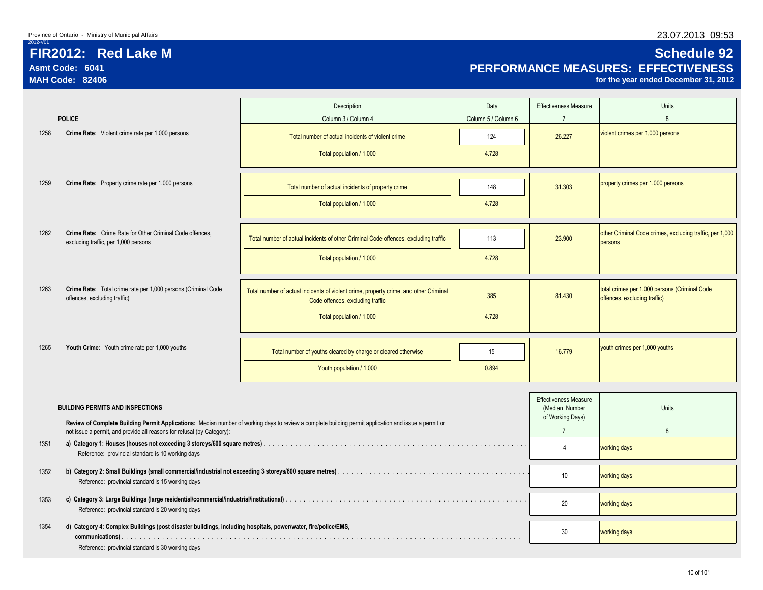## **FIR2012: Red Lake M Schedule 92 Asmt Code: 6041 PERFORMANCE MEASURES: EFFECTIVENESS**

for the year ended December 31, 2012

|      |                                                                                                               | Description                                                                                                                                           | Data                | <b>Effectiveness Measure</b>                                       | Units                                                                         |
|------|---------------------------------------------------------------------------------------------------------------|-------------------------------------------------------------------------------------------------------------------------------------------------------|---------------------|--------------------------------------------------------------------|-------------------------------------------------------------------------------|
|      | <b>POLICE</b>                                                                                                 | Column 3 / Column 4                                                                                                                                   | Column 5 / Column 6 | $\overline{7}$                                                     | $\mathsf{R}$                                                                  |
| 1258 | Crime Rate: Violent crime rate per 1,000 persons                                                              | Total number of actual incidents of violent crime                                                                                                     | 124                 | 26.227                                                             | violent crimes per 1,000 persons                                              |
|      |                                                                                                               | Total population / 1,000                                                                                                                              | 4.728               |                                                                    |                                                                               |
| 1259 | Crime Rate: Property crime rate per 1,000 persons                                                             | Total number of actual incidents of property crime                                                                                                    | 148                 | 31.303                                                             | property crimes per 1,000 persons                                             |
|      |                                                                                                               | Total population / 1,000                                                                                                                              | 4.728               |                                                                    |                                                                               |
| 1262 | Crime Rate: Crime Rate for Other Criminal Code offences,                                                      | Total number of actual incidents of other Criminal Code offences, excluding traffic                                                                   | 113                 | 23,900                                                             | other Criminal Code crimes, excluding traffic, per 1,000                      |
|      | excluding traffic, per 1,000 persons                                                                          | Total population / 1,000                                                                                                                              | 4.728               |                                                                    | persons                                                                       |
|      |                                                                                                               |                                                                                                                                                       |                     |                                                                    |                                                                               |
| 1263 | Crime Rate: Total crime rate per 1,000 persons (Criminal Code<br>offences, excluding traffic)                 | Total number of actual incidents of violent crime, property crime, and other Criminal<br>Code offences, excluding traffic                             | 385                 | 81.430                                                             | total crimes per 1,000 persons (Criminal Code<br>offences, excluding traffic) |
|      |                                                                                                               | Total population / 1,000                                                                                                                              | 4.728               |                                                                    |                                                                               |
| 1265 | Youth Crime: Youth crime rate per 1,000 youths                                                                | Total number of youths cleared by charge or cleared otherwise                                                                                         | 15                  | 16.779                                                             | youth crimes per 1,000 youths                                                 |
|      |                                                                                                               | Youth population / 1,000                                                                                                                              | 0.894               |                                                                    |                                                                               |
|      |                                                                                                               |                                                                                                                                                       |                     |                                                                    |                                                                               |
|      | <b>BUILDING PERMITS AND INSPECTIONS</b>                                                                       | Review of Complete Building Permit Applications: Median number of working days to review a complete building permit application and issue a permit or |                     | <b>Effectiveness Measure</b><br>(Median Number<br>of Working Days) | Units                                                                         |
|      | not issue a permit, and provide all reasons for refusal (by Category):                                        |                                                                                                                                                       |                     | $\overline{7}$                                                     | $\mathbf{8}$                                                                  |
| 1351 | Reference: provincial standard is 10 working days                                                             |                                                                                                                                                       |                     | $\overline{4}$                                                     | working days                                                                  |
| 1352 | Reference: provincial standard is 15 working days                                                             |                                                                                                                                                       |                     | 10 <sup>°</sup>                                                    | working days                                                                  |
| 1353 | Reference: provincial standard is 20 working days                                                             |                                                                                                                                                       |                     | 20                                                                 | working days                                                                  |
| 1354 | d) Category 4: Complex Buildings (post disaster buildings, including hospitals, power/water, fire/police/EMS, |                                                                                                                                                       |                     | 30                                                                 | working days                                                                  |
|      | Reference: provincial standard is 30 working days                                                             |                                                                                                                                                       |                     |                                                                    |                                                                               |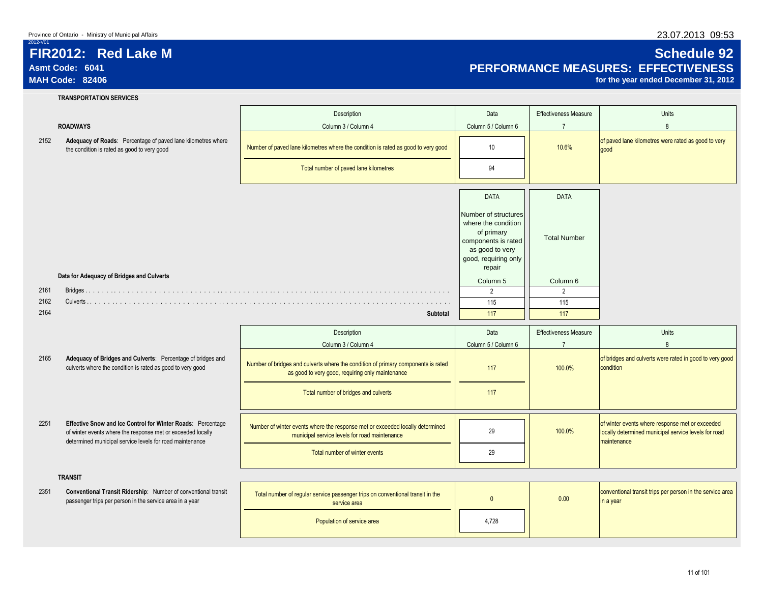### **FIR2012: Red Lake M Schedule 92 Asmt Code: 6041 PERFORMANCE MEASURES: EFFECTIVENESS**

for the year ended December 31, 2012

2012-V01

|      | <b>TRANSPORTATION SERVICES</b>                                                                                                                                                         |                                                                                                                                       |                                                                                                                                       |                              |                                                                                                                        |
|------|----------------------------------------------------------------------------------------------------------------------------------------------------------------------------------------|---------------------------------------------------------------------------------------------------------------------------------------|---------------------------------------------------------------------------------------------------------------------------------------|------------------------------|------------------------------------------------------------------------------------------------------------------------|
|      |                                                                                                                                                                                        | Description                                                                                                                           | Data                                                                                                                                  | <b>Effectiveness Measure</b> | <b>Units</b>                                                                                                           |
|      | <b>ROADWAYS</b>                                                                                                                                                                        | Column 3 / Column 4                                                                                                                   | Column 5 / Column 6                                                                                                                   | $\overline{7}$               | 8                                                                                                                      |
| 2152 | Adequacy of Roads: Percentage of paved lane kilometres where<br>the condition is rated as good to very good                                                                            | Number of paved lane kilometres where the condition is rated as good to very good                                                     | 10                                                                                                                                    | 10.6%                        | of paved lane kilometres were rated as good to very<br>qood                                                            |
|      |                                                                                                                                                                                        | Total number of paved lane kilometres                                                                                                 | 94                                                                                                                                    |                              |                                                                                                                        |
|      |                                                                                                                                                                                        |                                                                                                                                       | <b>DATA</b>                                                                                                                           | <b>DATA</b>                  |                                                                                                                        |
|      |                                                                                                                                                                                        |                                                                                                                                       | Number of structures<br>where the condition<br>of primary<br>components is rated<br>as good to very<br>good, requiring only<br>repair | <b>Total Number</b>          |                                                                                                                        |
|      | Data for Adequacy of Bridges and Culverts                                                                                                                                              |                                                                                                                                       | Column 5                                                                                                                              | Column 6                     |                                                                                                                        |
| 2161 |                                                                                                                                                                                        |                                                                                                                                       | 2                                                                                                                                     | $\overline{2}$               |                                                                                                                        |
| 2162 |                                                                                                                                                                                        |                                                                                                                                       | 115                                                                                                                                   | 115                          |                                                                                                                        |
| 2164 |                                                                                                                                                                                        | Subtotal                                                                                                                              | 117                                                                                                                                   | 117                          |                                                                                                                        |
|      |                                                                                                                                                                                        | Description                                                                                                                           | Data                                                                                                                                  | <b>Effectiveness Measure</b> | <b>Units</b>                                                                                                           |
|      |                                                                                                                                                                                        | Column 3 / Column 4                                                                                                                   | Column 5 / Column 6                                                                                                                   | $\overline{7}$               | 8                                                                                                                      |
| 2165 | Adequacy of Bridges and Culverts: Percentage of bridges and<br>culverts where the condition is rated as good to very good                                                              | Number of bridges and culverts where the condition of primary components is rated<br>as good to very good, requiring only maintenance | 117                                                                                                                                   | 100.0%                       | of bridges and culverts were rated in good to very good<br>condition                                                   |
|      |                                                                                                                                                                                        | Total number of bridges and culverts                                                                                                  | 117                                                                                                                                   |                              |                                                                                                                        |
| 2251 | Effective Snow and Ice Control for Winter Roads: Percentage<br>of winter events where the response met or exceeded locally<br>determined municipal service levels for road maintenance | Number of winter events where the response met or exceeded locally determined<br>municipal service levels for road maintenance        | 29                                                                                                                                    | 100.0%                       | of winter events where response met or exceeded<br>locally determined municipal service levels for road<br>maintenance |
|      |                                                                                                                                                                                        | Total number of winter events                                                                                                         | 29                                                                                                                                    |                              |                                                                                                                        |
|      | <b>TRANSIT</b>                                                                                                                                                                         |                                                                                                                                       |                                                                                                                                       |                              |                                                                                                                        |
| 2351 | Conventional Transit Ridership: Number of conventional transit<br>passenger trips per person in the service area in a year                                                             | Total number of regular service passenger trips on conventional transit in the<br>service area                                        | $\mathbf{0}$                                                                                                                          | 0.00                         | conventional transit trips per person in the service area<br>in a year                                                 |
|      |                                                                                                                                                                                        | Population of service area                                                                                                            | 4,728                                                                                                                                 |                              |                                                                                                                        |
|      |                                                                                                                                                                                        |                                                                                                                                       |                                                                                                                                       |                              |                                                                                                                        |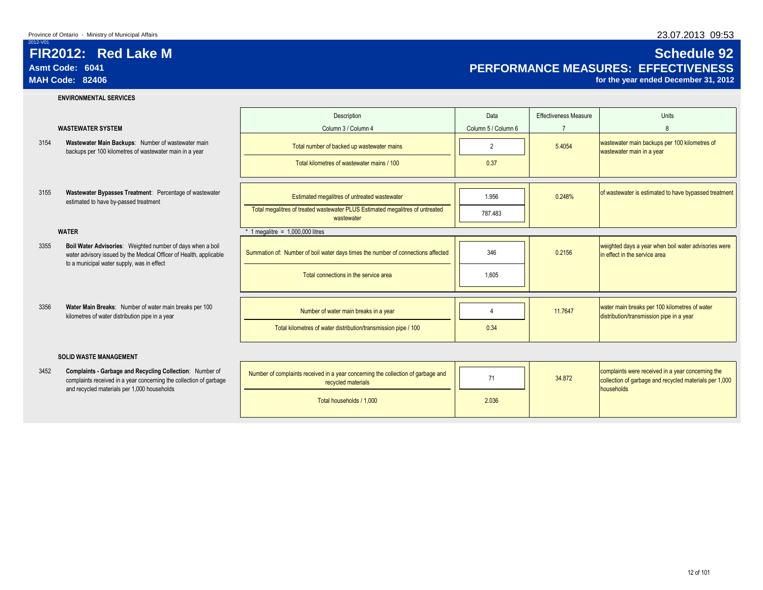### 2012-V01 **FIR2012: Red Lake M Schedule 92**

# **Asmt Code: 6041 PERFORMANCE MEASURES: EFFECTIVENESS**

for the year ended December 31, 2012

### **ENVIRONMENTAL SERVICES**

- backups per 100 kilometres of wastewater main in a year
- estimated to have by-passed treatment

- 3355 **Boil Water Advisories:** Weighted number of days when a bo water advisory issued by the Medical Officer of Health, applica to a municipal water supply, was in effect
- kilometres of water distribution pipe in a year

### **SOLID WASTE MANAGEMENT**

complaints received in a year concerning the collection of garbage and recycled materials per 1,000 households

|      |                                                                                                                                  | Description                                                                                 | Data                | <b>Effectiveness Measure</b> | <b>Units</b>                                                                              |
|------|----------------------------------------------------------------------------------------------------------------------------------|---------------------------------------------------------------------------------------------|---------------------|------------------------------|-------------------------------------------------------------------------------------------|
|      | <b>WASTEWATER SYSTEM</b>                                                                                                         | Column 3 / Column 4                                                                         | Column 5 / Column 6 |                              |                                                                                           |
| 3154 | Wastewater Main Backups: Number of wastewater main<br>backups per 100 kilometres of wastewater main in a year                    | Total number of backed up wastewater mains                                                  | $\overline{2}$      | 5.4054                       | wastewater main backups per 100 kilometres of<br>wastewater main in a year                |
|      |                                                                                                                                  | Total kilometres of wastewater mains / 100                                                  | 0.37                |                              |                                                                                           |
|      |                                                                                                                                  |                                                                                             |                     |                              |                                                                                           |
| 3155 | Wastewater Bypasses Treatment: Percentage of wastewater<br>estimated to have by-passed treatment                                 | Estimated megalitres of untreated wastewater                                                | 1.956               | 0.248%                       | of wastewater is estimated to have bypassed treatment                                     |
|      |                                                                                                                                  | Total megalitres of treated wastewater PLUS Estimated megalitres of untreated<br>wastewater | 787.483             |                              |                                                                                           |
|      | <b>WATER</b>                                                                                                                     | 1 megalitre = $1,000,000$ litres                                                            |                     |                              |                                                                                           |
| 3355 | Boil Water Advisories: Weighted number of days when a boil<br>water advisory issued by the Medical Officer of Health, applicable | Summation of: Number of boil water days times the number of connections affected            | 346                 | 0.2156                       | weighted days a year when boil water advisories were<br>in effect in the service area     |
|      | to a municipal water supply, was in effect                                                                                       | Total connections in the service area                                                       | 1,605               |                              |                                                                                           |
|      |                                                                                                                                  |                                                                                             |                     |                              |                                                                                           |
| 3356 | Water Main Breaks: Number of water main breaks per 100<br>kilometres of water distribution pipe in a year                        | Number of water main breaks in a year                                                       | 4                   | 11.7647                      | water main breaks per 100 kilometres of water<br>distribution/transmission pipe in a year |
|      |                                                                                                                                  | Total kilometres of water distribution/transmission pipe / 100                              | 0.34                |                              |                                                                                           |
|      |                                                                                                                                  |                                                                                             |                     |                              |                                                                                           |
|      | <b>SOLID WASTE MANAGEMENT</b>                                                                                                    |                                                                                             |                     |                              |                                                                                           |
| 3452 | <b>Complaints - Garbage and Recycling Collection:</b> Number of                                                                  | Number of complaints received in a year concerning the collection of garbage and            | $\rightarrow$       | 0.1070                       | complaints were received in a year concerning the                                         |

| Number of complaints received in a year concerning the collection of garbage and<br>recycled materials |       | 34,872 | complaints were received in a year concerning the<br>collection of garbage and recycled materials per 1,000<br><b>households</b> |
|--------------------------------------------------------------------------------------------------------|-------|--------|----------------------------------------------------------------------------------------------------------------------------------|
| Total households / 1,000                                                                               | 2.036 |        |                                                                                                                                  |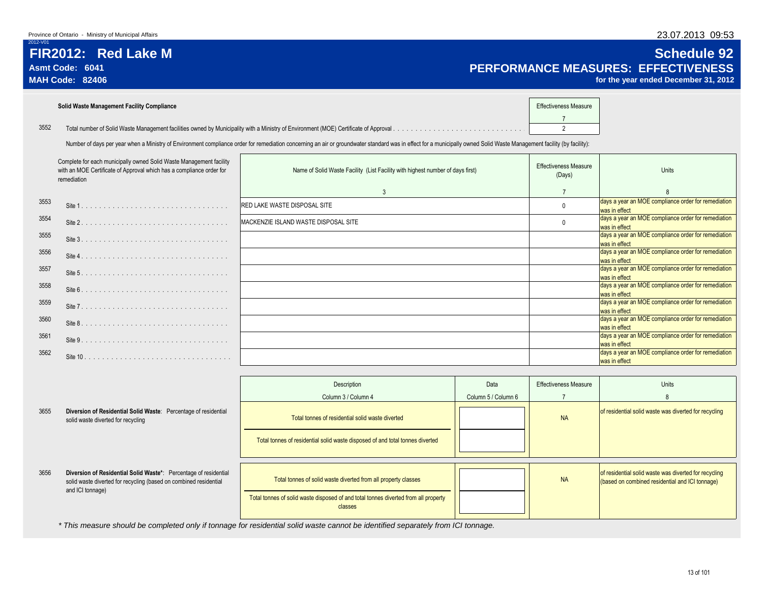### **FIR2012: Red Lake M Schedule 92** Asmt Code: 6041<br> **Asmt Code: 6041 PERFORMANCE MEASURES: EFFECTIVENESS**<br>
MAH Code: 82406 *percentive stage of the year ended December* **31, 2012**

for the year ended December 31, 2012

|      | Solid Waste Management Facility Compliance | <b>Effectiveness Measure</b> |  |
|------|--------------------------------------------|------------------------------|--|
| 3552 |                                            |                              |  |

Number of days per year when a Ministry of Environment compliance order for remediation concerning an air or groundwater standard was in effect for a municipally owned Solid Waste Management facility (by facility):

| Complete for each municipally owned Solid Waste Management facility<br>with an MOE Certificate of Approval which has a compliance order for<br>remediation |          | Name of Solid Waste Facility (List Facility with highest number of days first) | <b>Effectiveness Measure</b><br>(Days) | <b>Units</b>                                                         |
|------------------------------------------------------------------------------------------------------------------------------------------------------------|----------|--------------------------------------------------------------------------------|----------------------------------------|----------------------------------------------------------------------|
|                                                                                                                                                            |          | $\mathbf{3}$                                                                   |                                        |                                                                      |
| 3553                                                                                                                                                       |          | <b>RED LAKE WASTE DISPOSAL SITE</b>                                            |                                        | days a year an MOE compliance order for remediation<br>was in effect |
| 3554                                                                                                                                                       |          | MACKENZIE ISLAND WASTE DISPOSAL SITE                                           |                                        | days a year an MOE compliance order for remediation<br>was in effect |
| 3555                                                                                                                                                       | Site 3   |                                                                                |                                        | days a year an MOE compliance order for remediation<br>was in effect |
| 3556                                                                                                                                                       | Site 4   |                                                                                |                                        | days a year an MOE compliance order for remediation<br>was in effect |
| 3557                                                                                                                                                       |          |                                                                                |                                        | days a year an MOE compliance order for remediation<br>was in effect |
| 3558                                                                                                                                                       |          |                                                                                |                                        | days a year an MOE compliance order for remediation<br>was in effect |
| 3559                                                                                                                                                       |          |                                                                                |                                        | days a year an MOE compliance order for remediation<br>was in effect |
| 3560                                                                                                                                                       | Site 8.  |                                                                                |                                        | days a year an MOE compliance order for remediation<br>was in effect |
| 3561                                                                                                                                                       | Site 9   |                                                                                |                                        | days a year an MOE compliance order for remediation<br>was in effect |
| 3562                                                                                                                                                       | Site 10. |                                                                                |                                        | days a year an MOE compliance order for remediation<br>was in effect |

|      |                                                                                                                                                           | Description                                                                                    | Data                | <b>Effectiveness Measure</b> | <b>Units</b>                                                                                             |
|------|-----------------------------------------------------------------------------------------------------------------------------------------------------------|------------------------------------------------------------------------------------------------|---------------------|------------------------------|----------------------------------------------------------------------------------------------------------|
|      |                                                                                                                                                           | Column 3 / Column 4                                                                            | Column 5 / Column 6 |                              |                                                                                                          |
| 3655 | Diversion of Residential Solid Waste: Percentage of residential<br>solid waste diverted for recycling                                                     | Total tonnes of residential solid waste diverted                                               |                     | <b>NA</b>                    | of residential solid waste was diverted for recycling                                                    |
|      |                                                                                                                                                           | Total tonnes of residential solid waste disposed of and total tonnes diverted                  |                     |                              |                                                                                                          |
| 3656 | Diversion of Residential Solid Waste*: Percentage of residential<br>solid waste diverted for recycling (based on combined residential<br>and ICI tonnage) | Total tonnes of solid waste diverted from all property classes                                 |                     | <b>NA</b>                    | of residential solid waste was diverted for recycling<br>(based on combined residential and ICI tonnage) |
|      |                                                                                                                                                           | Total tonnes of solid waste disposed of and total tonnes diverted from all property<br>classes |                     |                              |                                                                                                          |

*\* This measure should be completed only if tonnage for residential solid waste cannot be identified separately from ICI tonnage.*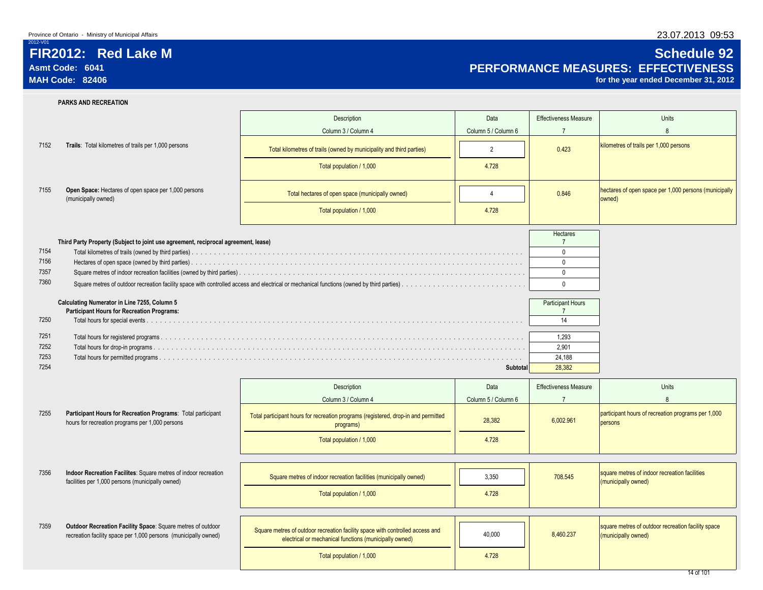## **FIR2012: Red Lake M Schedule 92 Asmt Code: 6041 PERFORMANCE MEASURES: EFFECTIVENESS**

for the year ended December 31, 2012

|              | <b>PARKS AND RECREATION</b>                                                                                                    |                                                                                                                                         |                     |                              |                                                                           |
|--------------|--------------------------------------------------------------------------------------------------------------------------------|-----------------------------------------------------------------------------------------------------------------------------------------|---------------------|------------------------------|---------------------------------------------------------------------------|
|              |                                                                                                                                | Description                                                                                                                             | Data                | <b>Effectiveness Measure</b> | Units                                                                     |
|              |                                                                                                                                | Column 3 / Column 4                                                                                                                     | Column 5 / Column 6 | $\overline{7}$               | $\mathbf{8}$                                                              |
| 7152         | Trails: Total kilometres of trails per 1,000 persons                                                                           | Total kilometres of trails (owned by municipality and third parties)                                                                    | $\overline{2}$      | 0.423                        | kilometres of trails per 1,000 persons                                    |
|              |                                                                                                                                | Total population / 1,000                                                                                                                | 4.728               |                              |                                                                           |
| 7155         | Open Space: Hectares of open space per 1,000 persons<br>(municipally owned)                                                    | Total hectares of open space (municipally owned)                                                                                        | $\overline{4}$      | 0.846                        | hectares of open space per 1,000 persons (municipally<br>owned)           |
|              |                                                                                                                                | Total population / 1,000                                                                                                                | 4.728               |                              |                                                                           |
|              |                                                                                                                                |                                                                                                                                         |                     | <b>Hectares</b>              |                                                                           |
|              | Third Party Property (Subject to joint use agreement, reciprocal agreement, lease)                                             |                                                                                                                                         |                     | $\overline{7}$               |                                                                           |
| 7154         |                                                                                                                                |                                                                                                                                         |                     | $\mathbf 0$                  |                                                                           |
| 7156         |                                                                                                                                |                                                                                                                                         |                     | $\mathbf{0}$                 |                                                                           |
| 7357<br>7360 |                                                                                                                                |                                                                                                                                         |                     | $\mathbf 0$                  |                                                                           |
|              |                                                                                                                                |                                                                                                                                         |                     | $\mathbf 0$                  |                                                                           |
|              | Calculating Numerator in Line 7255, Column 5                                                                                   |                                                                                                                                         |                     | Participant Hours            |                                                                           |
|              | <b>Participant Hours for Recreation Programs:</b>                                                                              |                                                                                                                                         |                     | $\overline{7}$               |                                                                           |
| 7250         |                                                                                                                                |                                                                                                                                         |                     | 14                           |                                                                           |
| 7251         |                                                                                                                                |                                                                                                                                         |                     | 1.293                        |                                                                           |
| 7252         |                                                                                                                                |                                                                                                                                         |                     | 2,901                        |                                                                           |
| 7253         |                                                                                                                                |                                                                                                                                         |                     | 24,188                       |                                                                           |
| 7254         |                                                                                                                                |                                                                                                                                         | Subtotal            | 28,382                       |                                                                           |
|              |                                                                                                                                | Description                                                                                                                             | Data                | <b>Effectiveness Measure</b> | Units                                                                     |
|              |                                                                                                                                | Column 3 / Column 4                                                                                                                     | Column 5 / Column 6 | $\overline{7}$               | 8                                                                         |
| 7255         | Participant Hours for Recreation Programs: Total participant<br>hours for recreation programs per 1,000 persons                | Total participant hours for recreation programs (registered, drop-in and permitted<br>programs)                                         | 28,382              | 6,002.961                    | participant hours of recreation programs per 1,000<br>persons             |
|              |                                                                                                                                | Total population / 1,000                                                                                                                | 4.728               |                              |                                                                           |
|              |                                                                                                                                |                                                                                                                                         |                     |                              |                                                                           |
| 7356         | Indoor Recreation Facilites: Square metres of indoor recreation<br>facilities per 1,000 persons (municipally owned)            | Square metres of indoor recreation facilities (municipally owned)                                                                       | 3,350               | 708.545                      | square metres of indoor recreation facilities<br>(municipally owned)      |
|              |                                                                                                                                | Total population / 1,000                                                                                                                | 4.728               |                              |                                                                           |
|              |                                                                                                                                |                                                                                                                                         |                     |                              |                                                                           |
| 7359         | Outdoor Recreation Facility Space: Square metres of outdoor<br>recreation facility space per 1,000 persons (municipally owned) | Square metres of outdoor recreation facility space with controlled access and<br>electrical or mechanical functions (municipally owned) | 40,000              | 8,460.237                    | square metres of outdoor recreation facility space<br>(municipally owned) |
|              |                                                                                                                                | Total population / 1,000                                                                                                                | 4.728               |                              |                                                                           |
|              |                                                                                                                                |                                                                                                                                         |                     |                              |                                                                           |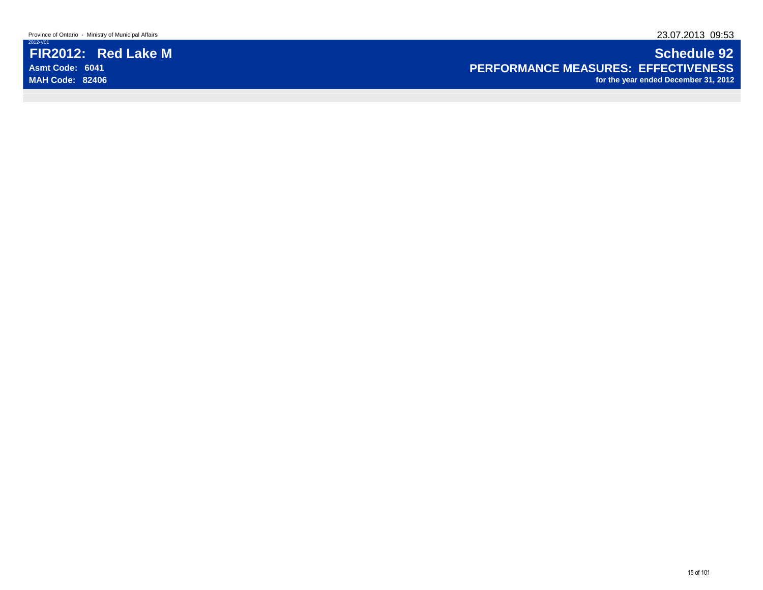Province of Ontario - Ministry of Municipal Affairs 23.07.2013 09:53

2012-V01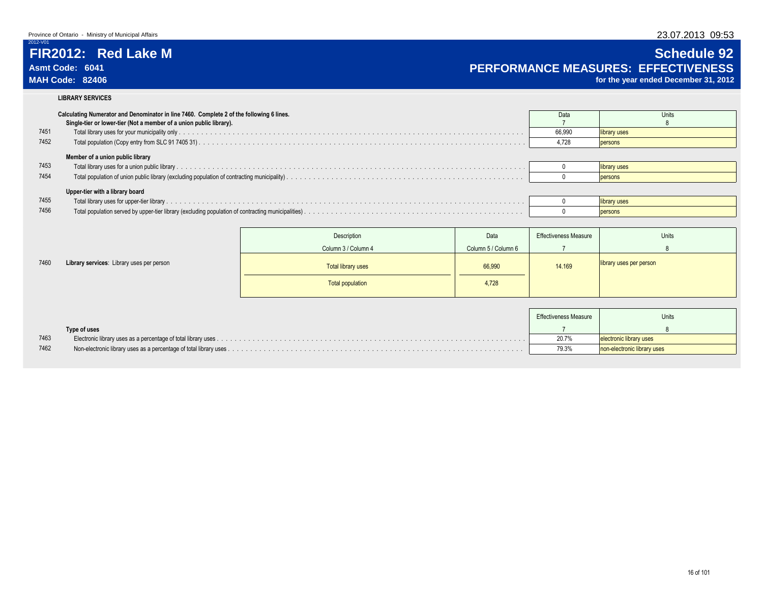## **FIR2012: Red Lake M Schedule 92 Asmt Code: 6041 PERFORMANCE MEASURES: EFFECTIVENESS**

for the year ended December 31, 2012

### **LIBRARY SERVICES**

|      | Calculating Numerator and Denominator in line 7460. Complete 2 of the following 6 lines.<br>Single-tier or lower-tier (Not a member of a union public library). | Data   | Units        |
|------|-----------------------------------------------------------------------------------------------------------------------------------------------------------------|--------|--------------|
| 7451 |                                                                                                                                                                 | 66.990 | library uses |
| 7452 |                                                                                                                                                                 | 4.728  | persons      |
|      | Member of a union public library                                                                                                                                |        |              |
| 7453 |                                                                                                                                                                 |        | library uses |
| 7454 |                                                                                                                                                                 |        | persons      |
|      | Upper-tier with a library board                                                                                                                                 |        |              |
| 7455 |                                                                                                                                                                 |        | library uses |
| 7456 |                                                                                                                                                                 |        | persons      |

|      |                                           | Description               | Data                | <b>Effectiveness Measure</b> | Units                   |
|------|-------------------------------------------|---------------------------|---------------------|------------------------------|-------------------------|
|      |                                           | Column 3 / Column 4       | Column 5 / Column 6 |                              |                         |
| 7460 | Library services: Library uses per person | <b>Total library uses</b> | 66,990              | 14.169                       | library uses per person |
|      |                                           | <b>Total population</b>   | 4,728               |                              |                         |
|      |                                           |                           |                     |                              |                         |

|      |              | <b>Effectiveness Measure</b> | Units                       |
|------|--------------|------------------------------|-----------------------------|
|      | Type of uses |                              |                             |
| 7463 |              | 20.7%                        | electronic library uses     |
| 7462 |              | 79.3%                        | non-electronic library uses |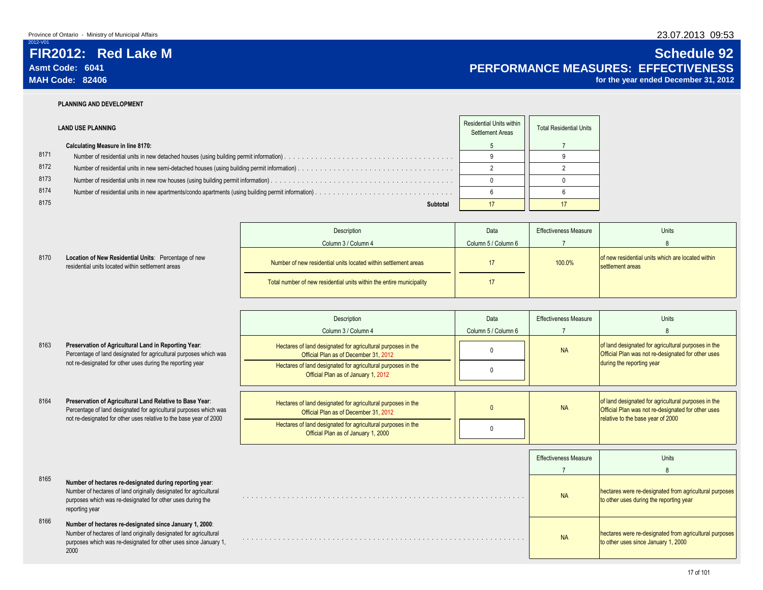8170

# **FIR2012: Red Lake M Schedule 92**

# **Asmt Code: 6041 PERFORMANCE MEASURES: EFFECTIVENESS**

for the year ended December 31, 2012

### **PLANNING AND DEVELOPMENT**

|      | <b>LAND USE PLANNING</b>                 | Residential Units within<br>Settlement Areas | <b>Total Residential Units</b> |
|------|------------------------------------------|----------------------------------------------|--------------------------------|
|      | <b>Calculating Measure in line 8170:</b> |                                              |                                |
| 8171 |                                          |                                              |                                |
| 8172 |                                          |                                              |                                |
| 8173 |                                          |                                              |                                |
| 8174 |                                          |                                              |                                |
| 8175 | Subtotal                                 |                                              |                                |

|                                                                                                           | Description                                                          | Data                | <b>Effectiveness Measure</b> | Units                                                                 |
|-----------------------------------------------------------------------------------------------------------|----------------------------------------------------------------------|---------------------|------------------------------|-----------------------------------------------------------------------|
|                                                                                                           | Column 3 / Column 4                                                  | Column 5 / Column 6 |                              |                                                                       |
| Location of New Residential Units: Percentage of new<br>residential units located within settlement areas | Number of new residential units located within settlement areas      |                     | 100.0%                       | of new residential units which are located within<br>settlement areas |
|                                                                                                           | Total number of new residential units within the entire municipality |                     |                              |                                                                       |

|      |                                                                                                                                                                                                              | Description<br>Column 3 / Column 4                                                                                                                                                                           | Data<br>Column 5 / Column 6 | <b>Effectiveness Measure</b> | Units<br>$\mathsf{R}$                                                                                                                          |
|------|--------------------------------------------------------------------------------------------------------------------------------------------------------------------------------------------------------------|--------------------------------------------------------------------------------------------------------------------------------------------------------------------------------------------------------------|-----------------------------|------------------------------|------------------------------------------------------------------------------------------------------------------------------------------------|
| 8163 | Preservation of Agricultural Land in Reporting Year:<br>Percentage of land designated for agricultural purposes which was<br>not re-designated for other uses during the reporting year                      | Hectares of land designated for agricultural purposes in the<br>Official Plan as of December 31, 2012                                                                                                        |                             | <b>NA</b>                    | of land designated for agricultural purposes in the<br>Official Plan was not re-designated for other uses                                      |
|      |                                                                                                                                                                                                              | Hectares of land designated for agricultural purposes in the<br>Official Plan as of January 1, 2012                                                                                                          |                             |                              | during the reporting year                                                                                                                      |
| 8164 | Preservation of Agricultural Land Relative to Base Year:<br>Percentage of land designated for agricultural purposes which was<br>not re-designated for other uses relative to the base year of 2000          | Hectares of land designated for agricultural purposes in the<br>Official Plan as of December 31, 2012<br>Hectares of land designated for agricultural purposes in the<br>Official Plan as of January 1, 2000 |                             | <b>NA</b>                    | of land designated for agricultural purposes in the<br>Official Plan was not re-designated for other uses<br>relative to the base year of 2000 |
|      |                                                                                                                                                                                                              |                                                                                                                                                                                                              |                             | <b>Effectiveness Measure</b> | <b>Units</b>                                                                                                                                   |
|      |                                                                                                                                                                                                              |                                                                                                                                                                                                              |                             |                              | 8                                                                                                                                              |
| 8165 | Number of hectares re-designated during reporting year:<br>Number of hectares of land originally designated for agricultural<br>purposes which was re-designated for other uses during the<br>reporting year |                                                                                                                                                                                                              |                             | <b>NA</b>                    | hectares were re-designated from agricultural purposes<br>to other uses during the reporting year                                              |
| 8166 | Number of hectares re-designated since January 1, 2000:<br>Number of hectares of land originally designated for agricultural<br>purposes which was re-designated for other uses since January 1,<br>2000     |                                                                                                                                                                                                              |                             | <b>NA</b>                    | hectares were re-designated from agricultural purposes<br>to other uses since January 1, 2000                                                  |